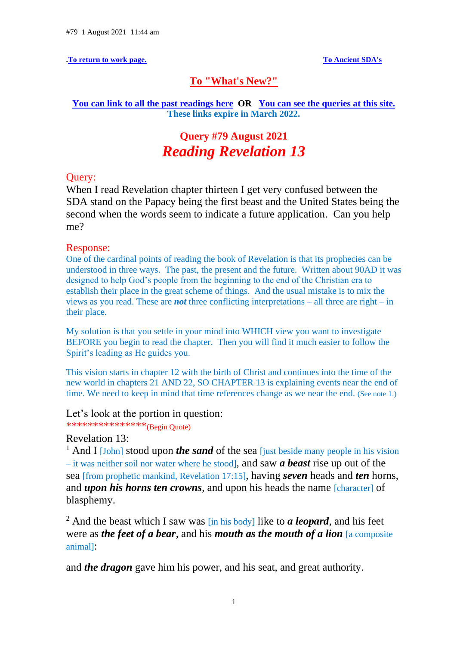**[.To return to work page.](https://ancient-sda.com/my_page/alternative.html) [To Ancient SDA's](https://ancient-sda.com/index.html)** 

## **[To "What's New?"](https://ancient-sda.com/ancient/whatsnew.html)**

### **[You can link to all the past readings here](https://c.mail.com/@646712656589235468/fdayEpWWTVeXJqc0Yod_Gg) OR [You can see the queries at this site.](https://c.mail.com/@646712656589235468/H2llk2KES5aOtMn_ZdkL7A)  These links expire in March 2022.**

# **Query #79 August 2021** *Reading Revelation 13*

## Query:

When I read Revelation chapter thirteen I get very confused between the SDA stand on the Papacy being the first beast and the United States being the second when the words seem to indicate a future application. Can you help me?

## Response:

One of the cardinal points of reading the book of Revelation is that its prophecies can be understood in three ways. The past, the present and the future. Written about 90AD it was designed to help God's people from the beginning to the end of the Christian era to establish their place in the great scheme of things. And the usual mistake is to mix the views as you read. These are *not* three conflicting interpretations – all three are right – in their place.

My solution is that you settle in your mind into WHICH view you want to investigate BEFORE you begin to read the chapter. Then you will find it much easier to follow the Spirit's leading as He guides you.

This vision starts in chapter 12 with the birth of Christ and continues into the time of the new world in chapters 21 AND 22, SO CHAPTER 13 is explaining events near the end of time. We need to keep in mind that time references change as we near the end. (See note 1.)

## Let's look at the portion in question:

\*\*\*\*\*\*\*\*\*\*\*\*\*\*\*(Begin Quote)

## Revelation 13:

<sup>1</sup> And I [John] stood upon *the sand* of the sea [just beside many people in his vision] – it was neither soil nor water where he stood], and saw *a beast* rise up out of the sea [from prophetic mankind, Revelation 17:15], having *seven* heads and *ten* horns, and *upon his horns ten crowns*, and upon his heads the name *[character]* of blasphemy.

<sup>2</sup> And the beast which I saw was [in his body] like to *a leopard*, and his feet were as *the feet of a bear*, and his *mouth as the mouth of a lion* [a composite animal]:

and *the dragon* gave him his power, and his seat, and great authority.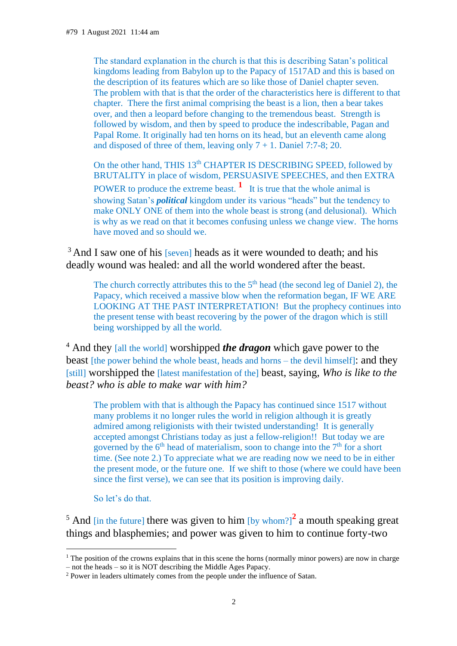The standard explanation in the church is that this is describing Satan's political kingdoms leading from Babylon up to the Papacy of 1517AD and this is based on the description of its features which are so like those of Daniel chapter seven. The problem with that is that the order of the characteristics here is different to that chapter. There the first animal comprising the beast is a lion, then a bear takes over, and then a leopard before changing to the tremendous beast. Strength is followed by wisdom, and then by speed to produce the indescribable, Pagan and Papal Rome. It originally had ten horns on its head, but an eleventh came along and disposed of three of them, leaving only  $7 + 1$ . Daniel 7:7-8; 20.

On the other hand, THIS 13<sup>th</sup> CHAPTER IS DESCRIBING SPEED, followed by BRUTALITY in place of wisdom, PERSUASIVE SPEECHES, and then EXTRA POWER to produce the extreme beast.  $\frac{1}{1}$  It is true that the whole animal is showing Satan's *political* kingdom under its various "heads" but the tendency to make ONLY ONE of them into the whole beast is strong (and delusional). Which is why as we read on that it becomes confusing unless we change view. The horns have moved and so should we.

<sup>3</sup> And I saw one of his [seven] heads as it were wounded to death; and his deadly wound was healed: and all the world wondered after the beast.

The church correctly attributes this to the  $5<sup>th</sup>$  head (the second leg of Daniel 2), the Papacy, which received a massive blow when the reformation began, IF WE ARE LOOKING AT THE PAST INTERPRETATION! But the prophecy continues into the present tense with beast recovering by the power of the dragon which is still being worshipped by all the world.

<sup>4</sup> And they [all the world] worshipped *the dragon* which gave power to the beast [the power behind the whole beast, heads and horns – the devil himself]: and they [still] worshipped the [latest manifestation of the] beast, saying, *Who is like to the beast? who is able to make war with him?*

The problem with that is although the Papacy has continued since 1517 without many problems it no longer rules the world in religion although it is greatly admired among religionists with their twisted understanding! It is generally accepted amongst Christians today as just a fellow-religion!! But today we are governed by the  $6<sup>th</sup>$  head of materialism, soon to change into the  $7<sup>th</sup>$  for a short time. (See note 2.) To appreciate what we are reading now we need to be in either the present mode, or the future one. If we shift to those (where we could have been since the first verse), we can see that its position is improving daily.

So let's do that.

<sup>5</sup> And [in the future] there was given to him  $[by \text{ whom}']^2$  a mouth speaking great things and blasphemies; and power was given to him to continue forty-two

<sup>&</sup>lt;sup>1</sup> The position of the crowns explains that in this scene the horns (normally minor powers) are now in charge – not the heads – so it is NOT describing the Middle Ages Papacy.

<sup>&</sup>lt;sup>2</sup> Power in leaders ultimately comes from the people under the influence of Satan.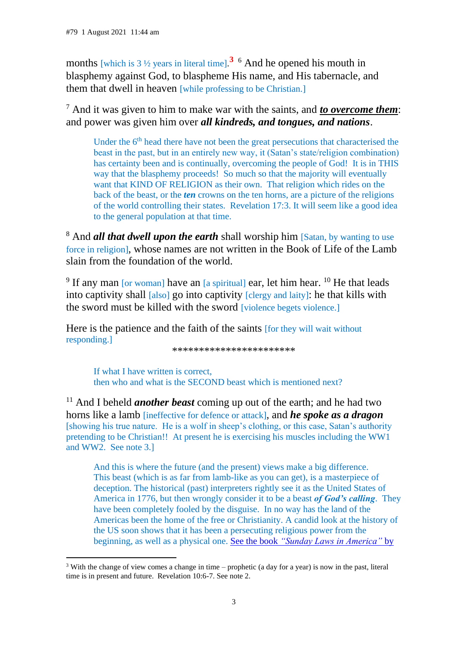months [which is  $3 \frac{1}{2}$  years in literal time].<sup>3</sup> <sup>6</sup> And he opened his mouth in blasphemy against God, to blaspheme His name, and His tabernacle, and them that dwell in heaven [while professing to be Christian.]

<sup>7</sup> And it was given to him to make war with the saints, and *to overcome them*: and power was given him over *all kindreds, and tongues, and nations*.

Under the  $6<sup>th</sup>$  head there have not been the great persecutions that characterised the beast in the past, but in an entirely new way, it (Satan's state/religion combination) has certainty been and is continually, overcoming the people of God! It is in THIS way that the blasphemy proceeds! So much so that the majority will eventually want that KIND OF RELIGION as their own. That religion which rides on the back of the beast, or the *ten* crowns on the ten horns, are a picture of the religions of the world controlling their states. Revelation 17:3. It will seem like a good idea to the general population at that time.

<sup>8</sup> And *all that dwell upon the earth* shall worship him [Satan, by wanting to use force in religion], whose names are not written in the Book of Life of the Lamb slain from the foundation of the world.

<sup>9</sup> If any man [or woman] have an  $[a$  spiritual] ear, let him hear. <sup>10</sup> He that leads into captivity shall [also] go into captivity [clergy and laity]: he that kills with the sword must be killed with the sword [violence begets violence.]

Here is the patience and the faith of the saints [for they will wait without responding.]

\*\*\*\*\*\*\*\*\*\*\*\*\*\*\*\*\*\*\*\*\*\*\*

If what I have written is correct, then who and what is the SECOND beast which is mentioned next?

<sup>11</sup> And I beheld *another beast* coming up out of the earth; and he had two horns like a lamb [ineffective for defence or attack], and *he spoke as a dragon* [showing his true nature. He is a wolf in sheep's clothing, or this case, Satan's authority pretending to be Christian!! At present he is exercising his muscles including the WW1 and WW2. See note 3.]

And this is where the future (and the present) views make a big difference. This beast (which is as far from lamb-like as you can get), is a masterpiece of deception. The historical (past) interpreters rightly see it as the United States of America in 1776, but then wrongly consider it to be a beast *of God's calling*. They have been completely fooled by the disguise. In no way has the land of the Americas been the home of the free or Christianity. A candid look at the history of the US soon shows that it has been a persecuting religious power from the beginning, as well as a physical one. See the book *["Sunday Laws in America"](https://ancient-sda.com/dateline_sunday_usa/contents.html)* by

<sup>&</sup>lt;sup>3</sup> With the change of view comes a change in time – prophetic (a day for a year) is now in the past, literal time is in present and future. Revelation 10:6-7. See note 2.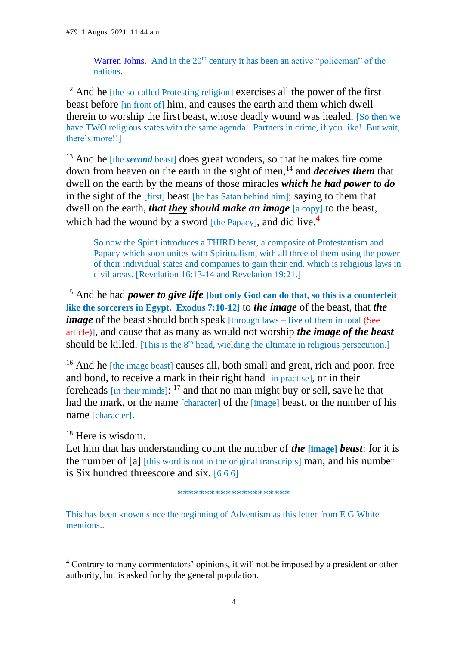[Warren Johns.](https://ancient-sda.com/dateline_sunday_usa/contents.html) And in the  $20<sup>th</sup>$  century it has been an active "policeman" of the nations.

 $12$  And he [the so-called Protesting religion] exercises all the power of the first beast before [in front of] him, and causes the earth and them which dwell therein to worship the first beast, whose deadly wound was healed. [So then we have TWO religious states with the same agenda! Partners in crime, if you like! But wait, there's more!!]

<sup>13</sup> And he *[the second beast]* does great wonders, so that he makes fire come down from heaven on the earth in the sight of men,<sup>14</sup> and *deceives them* that dwell on the earth by the means of those miracles *which he had power to do* in the sight of the [first] beast [he has Satan behind him]; saying to them that dwell on the earth, *that they should make an image* [a copy] to the beast, which had the wound by a sword [the Papacy], and did live.<sup>4</sup>

So now the Spirit introduces a THIRD beast, a composite of Protestantism and Papacy which soon unites with Spiritualism, with all three of them using the power of their individual states and companies to gain their end, which is religious laws in civil areas. [Revelation 16:13-14 and Revelation 19:21.]

<sup>15</sup> And he had *power to give life* [but only God can do that, so this is a counterfeit **like the sorcerers in Egypt. Exodus 7:10-12]** to *the image* of the beast, that *the image* of the beast should both speak [through laws – five of them in total (See article)], and cause that as many as would not worship *the image of the beast* should be killed. [This is the 8<sup>th</sup> head, wielding the ultimate in religious persecution.]

<sup>16</sup> And he [the image beast] causes all, both small and great, rich and poor, free and bond, to receive a mark in their right hand [in practise], or in their foreheads  $\left[\text{in their minds}\right]$ :  $^{17}$  and that no man might buy or sell, save he that had the mark, or the name [character] of the [image] beast, or the number of his name [character].

<sup>18</sup> Here is wisdom.

Let him that has understanding count the number of *the* **[image]** *beast*: for it is the number of [a] [this word is not in the original transcripts] man; and his number is Six hundred threescore and six. [6 6 6]

\*\*\*\*\*\*\*\*\*\*\*\*\*\*\*\*\*\*\*\*\*

This has been known since the beginning of Adventism as this letter from E G White mentions..

<sup>4</sup> Contrary to many commentators' opinions, it will not be imposed by a president or other authority, but is asked for by the general population.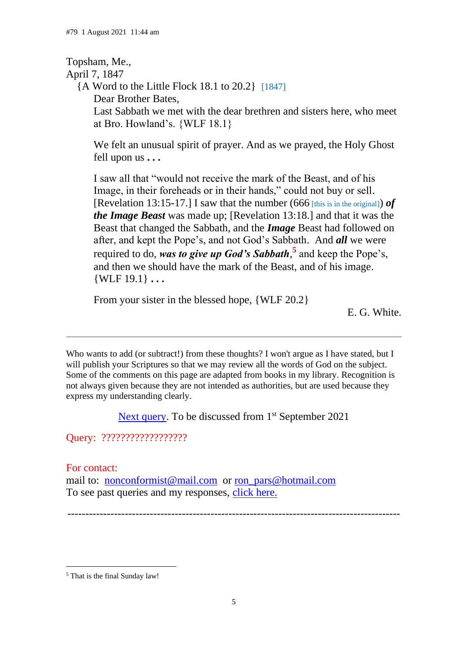## Topsham, Me.,

## April 7, 1847

 {A Word to the Little Flock 18.1 to 20.2} [1847] Dear Brother Bates, Last Sabbath we met with the dear brethren and sisters here, who meet at Bro. Howland's. {WLF 18.1}

We felt an unusual spirit of prayer. And as we prayed, the Holy Ghost fell upon us **. . .**

I saw all that "would not receive the mark of the Beast, and of his Image, in their foreheads or in their hands," could not buy or sell. [Revelation 13:15-17.] I saw that the number (666 [this is in the original]) *of the Image Beast* was made up; [Revelation 13:18.] and that it was the Beast that changed the Sabbath, and the *Image* Beast had followed on after, and kept the Pope's, and not God's Sabbath. And *all* we were required to do, *was to give up God's Sabbath*, **5** and keep the Pope's, and then we should have the mark of the Beast, and of his image.  $\{WLF 19.1\}$  ...

From your sister in the blessed hope, {WLF 20.2}

E. G. White.

Who wants to add (or subtract!) from these thoughts? I won't argue as I have stated, but I will publish your Scriptures so that we may review all the words of God on the subject. Some of the comments on this page are adapted from books in my library. Recognition is not always given because they are not intended as authorities, but are used because they express my understanding clearly.

[Next query.](file:///D:/A%20Passport%20travelling/Travelling%20on%20C%20drive/My%20webs/my_page/past_queries/burnt_offerings_aug_14.html%23.) To be discussed from 1<sup>st</sup> September 2021

Query: ??????????????????

For contact:

mail to: [nonconformist@mail.com](mailto:nonconformist@mail.com) or [ron\\_pars@hotmail.com](mailto:ron_pars@hotmail.com) To see past queries and my responses, [click here.](https://c.mail.com/@646712656589235468/H2llk2KES5aOtMn_ZdkL7A)

---------------------------------------------------------------------------------------------

<sup>5</sup> That is the final Sunday law!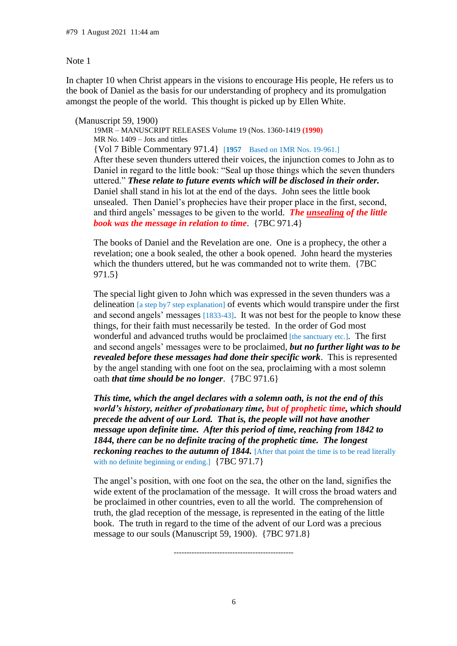#### Note 1

In chapter 10 when Christ appears in the visions to encourage His people, He refers us to the book of Daniel as the basis for our understanding of prophecy and its promulgation amongst the people of the world. This thought is picked up by Ellen White.

(Manuscript 59, 1900)

19MR – MANUSCRIPT RELEASES Volume 19 (Nos. 1360-1419 **(1990)** MR No. 1409 – Jots and tittles {Vol 7 Bible Commentary 971.4} [**1957** Based on 1MR Nos. 19-961.] After these seven thunders uttered their voices, the injunction comes to John as to Daniel in regard to the little book: "Seal up those things which the seven thunders uttered." *These relate to future events which will be disclosed in their order.* Daniel shall stand in his lot at the end of the days. John sees the little book unsealed. Then Daniel's prophecies have their proper place in the first, second, and third angels' messages to be given to the world. *The unsealing of the little book was the message in relation to time*. {7BC 971.4}

The books of Daniel and the Revelation are one. One is a prophecy, the other a revelation; one a book sealed, the other a book opened. John heard the mysteries which the thunders uttered, but he was commanded not to write them. {7BC 971.5}

The special light given to John which was expressed in the seven thunders was a delineation [a step by7 step explanation] of events which would transpire under the first and second angels' messages [1833-43]. It was not best for the people to know these things, for their faith must necessarily be tested. In the order of God most wonderful and advanced truths would be proclaimed [the sanctuary etc.]. The first and second angels' messages were to be proclaimed, *but no further light was to be revealed before these messages had done their specific work*. This is represented by the angel standing with one foot on the sea, proclaiming with a most solemn oath *that time should be no longer*. {7BC 971.6}

*This time, which the angel declares with a solemn oath, is not the end of this world's history, neither of probationary time, but of prophetic time, which should precede the advent of our Lord. That is, the people will not have another message upon definite time. After this period of time, reaching from 1842 to 1844, there can be no definite tracing of the prophetic time. The longest reckoning reaches to the autumn of 1844.* [After that point the time is to be read literally with no definite beginning or ending.]  ${7BC 971.7}$ 

The angel's position, with one foot on the sea, the other on the land, signifies the wide extent of the proclamation of the message. It will cross the broad waters and be proclaimed in other countries, even to all the world. The comprehension of truth, the glad reception of the message, is represented in the eating of the little book. The truth in regard to the time of the advent of our Lord was a precious message to our souls (Manuscript 59, 1900). {7BC 971.8}

-----------------------------------------------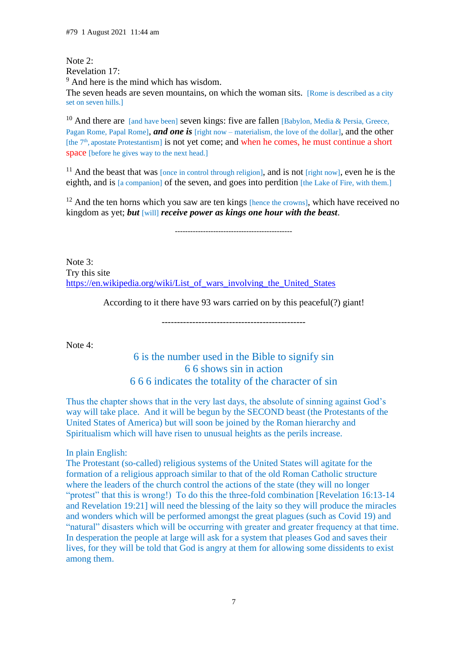#### Note 2: Revelation 17:

<sup>9</sup> And here is the mind which has wisdom.

The seven heads are seven mountains, on which the woman sits. [Rome is described as a city set on seven hills.]

<sup>10</sup> And there are [and have been] seven kings: five are fallen [Babylon, Media & Persia, Greece, Pagan Rome, Papal Rome], *and one is* [right now – materialism, the love of the dollar], and the other [the 7<sup>th</sup>, apostate Protestantism] is not yet come; and when he comes, he must continue a short space [before he gives way to the next head.]

<sup>11</sup> And the beast that was [once in control through religion], and is not  $[right now]$ , even he is the eighth, and is [a companion] of the seven, and goes into perdition [the Lake of Fire, with them.]

 $12$  And the ten horns which you saw are ten kings [hence the crowns], which have received no kingdom as yet; *but* [will] *receive power as kings one hour with the beast*.

----------------------------------------------

Note 3: Try this site [https://en.wikipedia.org/wiki/List\\_of\\_wars\\_involving\\_the\\_United\\_States](https://en.wikipedia.org/wiki/List_of_wars_involving_the_United_States)

According to it there have 93 wars carried on by this peaceful(?) giant!

-----------------------------------------------

Note 4:

## 6 is the number used in the Bible to signify sin 6 6 shows sin in action 6 6 6 indicates the totality of the character of sin

Thus the chapter shows that in the very last days, the absolute of sinning against God's way will take place. And it will be begun by the SECOND beast (the Protestants of the United States of America) but will soon be joined by the Roman hierarchy and Spiritualism which will have risen to unusual heights as the perils increase.

#### In plain English:

The Protestant (so-called) religious systems of the United States will agitate for the formation of a religious approach similar to that of the old Roman Catholic structure where the leaders of the church control the actions of the state (they will no longer "protest" that this is wrong!) To do this the three-fold combination [Revelation 16:13-14 and Revelation 19:21] will need the blessing of the laity so they will produce the miracles and wonders which will be performed amongst the great plagues (such as Covid 19) and "natural" disasters which will be occurring with greater and greater frequency at that time. In desperation the people at large will ask for a system that pleases God and saves their lives, for they will be told that God is angry at them for allowing some dissidents to exist among them.